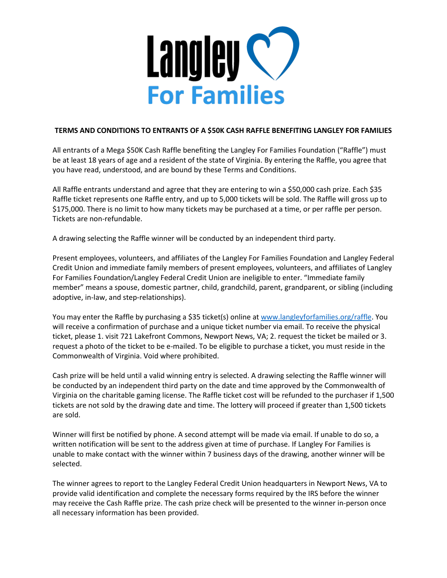

## **TERMS AND CONDITIONS TO ENTRANTS OF A \$50K CASH RAFFLE BENEFITING LANGLEY FOR FAMILIES**

All entrants of a Mega \$50K Cash Raffle benefiting the Langley For Families Foundation ("Raffle") must be at least 18 years of age and a resident of the state of Virginia. By entering the Raffle, you agree that you have read, understood, and are bound by these Terms and Conditions.

All Raffle entrants understand and agree that they are entering to win a \$50,000 cash prize. Each \$35 Raffle ticket represents one Raffle entry, and up to 5,000 tickets will be sold. The Raffle will gross up to \$175,000. There is no limit to how many tickets may be purchased at a time, or per raffle per person. Tickets are non-refundable.

A drawing selecting the Raffle winner will be conducted by an independent third party.

Present employees, volunteers, and affiliates of the Langley For Families Foundation and Langley Federal Credit Union and immediate family members of present employees, volunteers, and affiliates of Langley For Families Foundation/Langley Federal Credit Union are ineligible to enter. "Immediate family member" means a spouse, domestic partner, child, grandchild, parent, grandparent, or sibling (including adoptive, in-law, and step-relationships).

You may enter the Raffle by purchasing a \$35 ticket(s) online a[t www.langleyforfamilies.org/raffle.](http://www.langleyforfamilies.org/raffle) You will receive a confirmation of purchase and a unique ticket number via email. To receive the physical ticket, please 1. visit 721 Lakefront Commons, Newport News, VA; 2. request the ticket be mailed or 3. request a photo of the ticket to be e-mailed. To be eligible to purchase a ticket, you must reside in the Commonwealth of Virginia. Void where prohibited.

Cash prize will be held until a valid winning entry is selected. A drawing selecting the Raffle winner will be conducted by an independent third party on the date and time approved by the Commonwealth of Virginia on the charitable gaming license. The Raffle ticket cost will be refunded to the purchaser if 1,500 tickets are not sold by the drawing date and time. The lottery will proceed if greater than 1,500 tickets are sold.

Winner will first be notified by phone. A second attempt will be made via email. If unable to do so, a written notification will be sent to the address given at time of purchase. If Langley For Families is unable to make contact with the winner within 7 business days of the drawing, another winner will be selected.

The winner agrees to report to the Langley Federal Credit Union headquarters in Newport News, VA to provide valid identification and complete the necessary forms required by the IRS before the winner may receive the Cash Raffle prize. The cash prize check will be presented to the winner in-person once all necessary information has been provided.